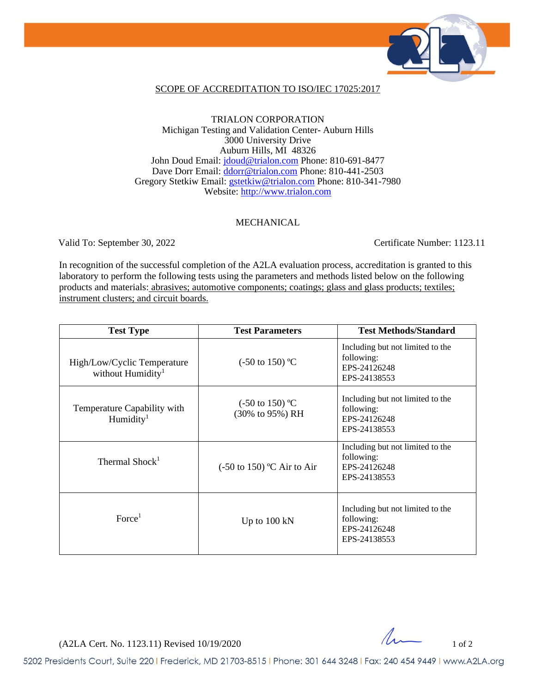

### SCOPE OF ACCREDITATION TO ISO/IEC 17025:2017

### TRIALON CORPORATION Michigan Testing and Validation Center- Auburn Hills 3000 University Drive Auburn Hills, MI 48326 John Doud Email: [jdoud@trialon.com](mailto:jdoud@trialon.com) Phone: 810-691-8477 Dave Dorr Email: [ddorr@trialon.com](mailto:ddorr@trialon.com) Phone: 810-441-2503 Gregory Stetkiw Email: [gstetkiw@trialon.com](mailto:gstetkiw@trialon.com) Phone: 810-341-7980 Website: [http://www.trialon.com](http://www.trialon.com/)

#### MECHANICAL

Valid To: September 30, 2022 Certificate Number: 1123.11

In recognition of the successful completion of the A2LA evaluation process, accreditation is granted to this laboratory to perform the following tests using the parameters and methods listed below on the following products and materials: abrasives; automotive components; coatings; glass and glass products; textiles; instrument clusters; and circuit boards.

| <b>Test Type</b>                                             | <b>Test Parameters</b>                        | <b>Test Methods/Standard</b>                                                   |
|--------------------------------------------------------------|-----------------------------------------------|--------------------------------------------------------------------------------|
| High/Low/Cyclic Temperature<br>without Humidity <sup>1</sup> | $(-50 \text{ to } 150)$ °C                    | Including but not limited to the<br>following:<br>EPS-24126248<br>EPS-24138553 |
| Temperature Capability with<br>Humidity <sup>1</sup>         | $(-50 \text{ to } 150)$ °C<br>(30% to 95%) RH | Including but not limited to the<br>following:<br>EPS-24126248<br>EPS-24138553 |
| Thermal Shock <sup>1</sup>                                   | $(-50 \text{ to } 150)$ °C Air to Air         | Including but not limited to the<br>following:<br>EPS-24126248<br>EPS-24138553 |
| Force <sup>1</sup>                                           | Up to $100 \text{ kN}$                        | Including but not limited to the<br>following:<br>EPS-24126248<br>EPS-24138553 |

 $(A2LA$  Cert. No. 1123.11) Revised 10/19/2020

5202 Presidents Court, Suite 220 | Frederick, MD 21703-8515 | Phone: 301 644 3248 | Fax: 240 454 9449 | www.A2LA.org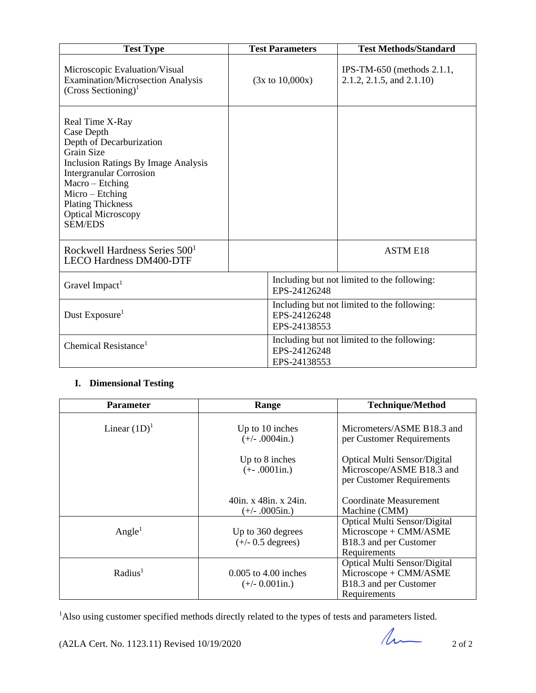| <b>Test Type</b>                                                                                                                                                                                                                                                         | <b>Test Parameters</b>       | <b>Test Methods/Standard</b>                              |
|--------------------------------------------------------------------------------------------------------------------------------------------------------------------------------------------------------------------------------------------------------------------------|------------------------------|-----------------------------------------------------------|
| Microscopic Evaluation/Visual<br><b>Examination/Microsection Analysis</b><br>$(Cross Sectioning)^{1}$                                                                                                                                                                    | $(3x \text{ to } 10,000x)$   | IPS-TM-650 (methods $2.1.1$ ,<br>2.1.2, 2.1.5, and 2.1.10 |
| Real Time X-Ray<br>Case Depth<br>Depth of Decarburization<br>Grain Size<br><b>Inclusion Ratings By Image Analysis</b><br><b>Intergranular Corrosion</b><br>Macro – Etching<br>$Micro-Etching$<br><b>Plating Thickness</b><br><b>Optical Microscopy</b><br><b>SEM/EDS</b> |                              |                                                           |
| Rockwell Hardness Series 500 <sup>1</sup><br><b>LECO Hardness DM400-DTF</b>                                                                                                                                                                                              |                              | <b>ASTM E18</b>                                           |
| Gravel Impact <sup>1</sup>                                                                                                                                                                                                                                               | EPS-24126248                 | Including but not limited to the following:               |
| Dust Exposure <sup>1</sup>                                                                                                                                                                                                                                               | EPS-24126248<br>EPS-24138553 | Including but not limited to the following:               |
| Chemical Resistance <sup>1</sup>                                                                                                                                                                                                                                         | EPS-24126248<br>EPS-24138553 | Including but not limited to the following:               |

## **I. Dimensional Testing**

| <b>Parameter</b>    | Range                                              | <b>Technique/Method</b>                                                                         |
|---------------------|----------------------------------------------------|-------------------------------------------------------------------------------------------------|
| Linear $(1D)^1$     | Up to 10 inches<br>$(+/- .0004$ in.)               | Micrometers/ASME B18.3 and<br>per Customer Requirements                                         |
|                     | Up to 8 inches<br>$(+-.0001in.)$                   | <b>Optical Multi Sensor/Digital</b><br>Microscope/ASME B18.3 and<br>per Customer Requirements   |
|                     | $40$ in. x $48$ in. x $24$ in.<br>$(+/- .0005in.)$ | Coordinate Measurement<br>Machine (CMM)                                                         |
| Angle <sup>1</sup>  | Up to 360 degrees<br>$(+/- 0.5$ degrees)           | Optical Multi Sensor/Digital<br>Microscope + CMM/ASME<br>B18.3 and per Customer<br>Requirements |
| Radius <sup>1</sup> | $0.005$ to 4.00 inches<br>$(+/- 0.001$ in.)        | Optical Multi Sensor/Digital<br>Microscope + CMM/ASME<br>B18.3 and per Customer<br>Requirements |

<sup>1</sup>Also using customer specified methods directly related to the types of tests and parameters listed.